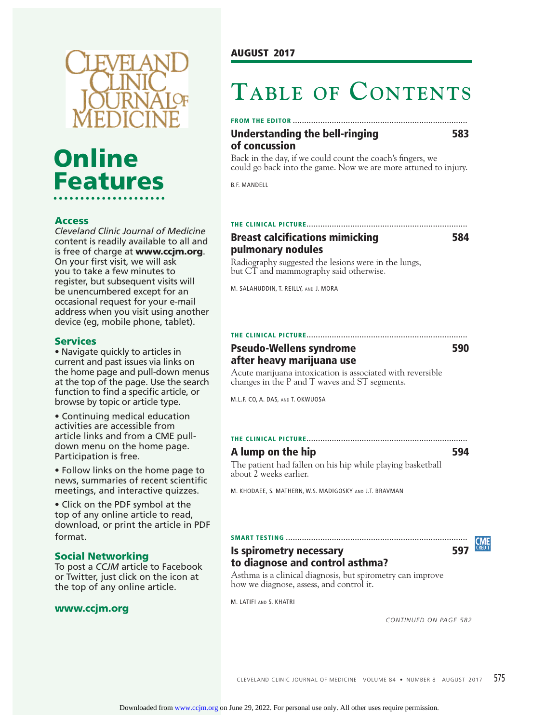

# **Online Features**

### **Access**

*Cleveland Clinic Journal of Medicine*  content is readily available to all and is free of charge at **www.ccjm.org**. On your first visit, we will ask you to take a few minutes to register, but subsequent visits will be unencumbered except for an occasional request for your e-mail address when you visit using another device (eg, mobile phone, tablet).

#### **Services**

• Navigate quickly to articles in current and past issues via links on the home page and pull-down menus at the top of the page. Use the search function to find a specific article, or browse by topic or article type.

• Continuing medical education activities are accessible from article links and from a CME pulldown menu on the home page. Participation is free.

• Follow links on the home page to news, summaries of recent scientific meetings, and interactive quizzes.

• Click on the PDF symbol at the top of any online article to read, download, or print the article in PDF format.

#### **Social Networking**

To post a *CCJM* article to Facebook or Twitter, just click on the icon at the top of any online article.

#### **www.ccjm.org**

# **TABLE OF CONTENTS**

#### **FROM THE EDITOR ............................................................................**

#### **Understanding the bell-ringing 583 of concussion**

Back in the day, if we could count the coach's fingers, we could go back into the game. Now we are more attuned to injury.

B.F. MANDELL

#### **THE CLINICAL PICTURE ......................................................................**

# **Breast calcifications mimicking 684 pulmonary nodules**

Radiography suggested the lesions were in the lungs, but CT and mammography said otherwise.

M. SALAHUDDIN, T. REILLY, AND J. MORA

# **THE CLINICAL PICTURE ......................................................................**

# **Pseudo-Wellens syndrome 590 after heavy marijuana use**

Acute marijuana intoxication is associated with reversible changes in the P and T waves and ST segments.

M.L.F. CO, A. DAS, AND T. OKWUOSA

#### **THE CLINICAL PICTURE ......................................................................**

#### **A lump on the hip 594**

The patient had fallen on his hip while playing basketball about 2 weeks earlier.

M. KHODAEE, S. MATHERN, W.S. MADIGOSKY AND J.T. BRAVMAN

#### **SMART TESTING ...............................................................................**

#### **Is spirometry necessary 597 to diagnose and control asthma?**

#### Asthma is a clinical diagnosis, but spirometry can improve how we diagnose, assess, and control it.

M. LATIFI AND S. KHATRI

*CONTINUED ON PAGE 582*